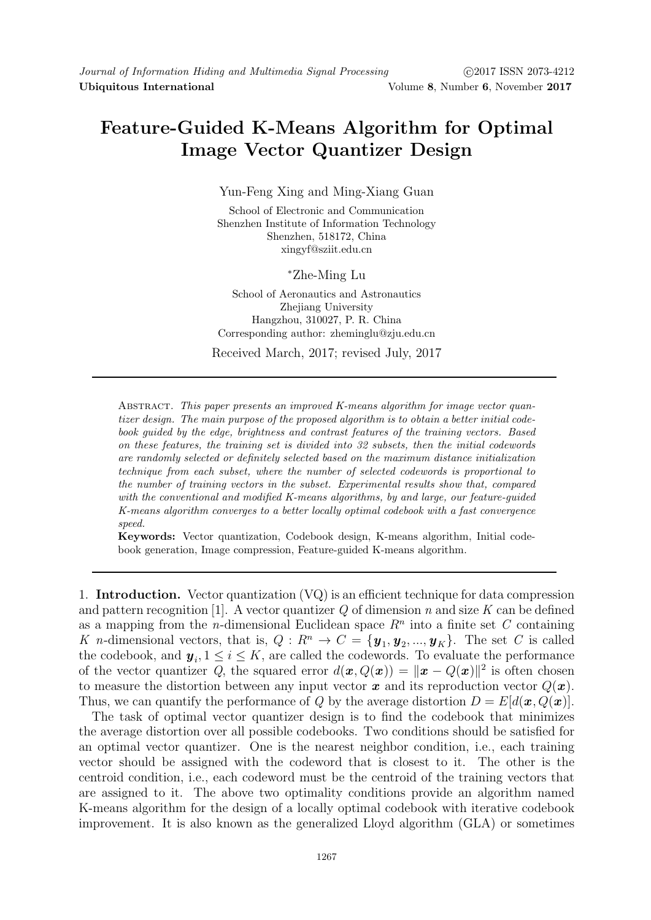## Feature-Guided K-Means Algorithm for Optimal Image Vector Quantizer Design

Yun-Feng Xing and Ming-Xiang Guan

School of Electronic and Communication Shenzhen Institute of Information Technology Shenzhen, 518172, China xingyf@sziit.edu.cn

<sup>∗</sup>Zhe-Ming Lu

School of Aeronautics and Astronautics Zhejiang University Hangzhou, 310027, P. R. China Corresponding author: zheminglu@zju.edu.cn

Received March, 2017; revised July, 2017

ABSTRACT. This paper presents an improved K-means algorithm for image vector quantizer design. The main purpose of the proposed algorithm is to obtain a better initial codebook guided by the edge, brightness and contrast features of the training vectors. Based on these features, the training set is divided into 32 subsets, then the initial codewords are randomly selected or definitely selected based on the maximum distance initialization technique from each subset, where the number of selected codewords is proportional to the number of training vectors in the subset. Experimental results show that, compared with the conventional and modified K-means algorithms, by and large, our feature-quided K-means algorithm converges to a better locally optimal codebook with a fast convergence speed.

Keywords: Vector quantization, Codebook design, K-means algorithm, Initial codebook generation, Image compression, Feature-guided K-means algorithm.

1. Introduction. Vector quantization (VQ) is an efficient technique for data compression and pattern recognition [1]. A vector quantizer  $Q$  of dimension n and size K can be defined as a mapping from the *n*-dimensional Euclidean space  $R<sup>n</sup>$  into a finite set C containing K n-dimensional vectors, that is,  $Q: R^n \to C = {\mathbf{y}_1, \mathbf{y}_2, ..., \mathbf{y}_K}$ . The set C is called the codebook, and  $y_i, 1 \leq i \leq K$ , are called the codewords. To evaluate the performance of the vector quantizer Q, the squared error  $d(\bm{x}, Q(\bm{x})) = ||\bm{x} - Q(\bm{x})||^2$  is often chosen to measure the distortion between any input vector  $\boldsymbol{x}$  and its reproduction vector  $Q(\boldsymbol{x})$ . Thus, we can quantify the performance of Q by the average distortion  $D = E[d(\mathbf{x}, Q(\mathbf{x}))]$ .

The task of optimal vector quantizer design is to find the codebook that minimizes the average distortion over all possible codebooks. Two conditions should be satisfied for an optimal vector quantizer. One is the nearest neighbor condition, i.e., each training vector should be assigned with the codeword that is closest to it. The other is the centroid condition, i.e., each codeword must be the centroid of the training vectors that are assigned to it. The above two optimality conditions provide an algorithm named K-means algorithm for the design of a locally optimal codebook with iterative codebook improvement. It is also known as the generalized Lloyd algorithm (GLA) or sometimes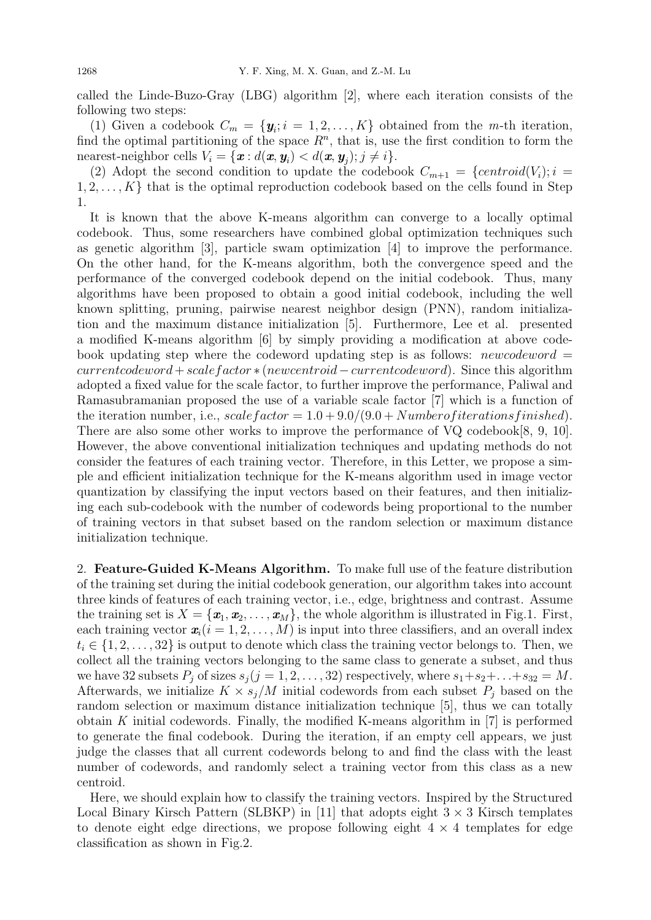called the Linde-Buzo-Gray (LBG) algorithm [2], where each iteration consists of the following two steps:

(1) Given a codebook  $C_m = {\mathbf{y}_i; i = 1, 2, ..., K}$  obtained from the *m*-th iteration, find the optimal partitioning of the space  $R<sup>n</sup>$ , that is, use the first condition to form the nearest-neighbor cells  $V_i = \{ \boldsymbol{x} : d(\boldsymbol{x}, \boldsymbol{y}_i) < d(\boldsymbol{x}, \boldsymbol{y}_j); j \neq i \}.$ 

(2) Adopt the second condition to update the codebook  $C_{m+1} = {centroid(V_i); i =}$  $1, 2, \ldots, K$  that is the optimal reproduction codebook based on the cells found in Step 1.

It is known that the above K-means algorithm can converge to a locally optimal codebook. Thus, some researchers have combined global optimization techniques such as genetic algorithm [3], particle swam optimization [4] to improve the performance. On the other hand, for the K-means algorithm, both the convergence speed and the performance of the converged codebook depend on the initial codebook. Thus, many algorithms have been proposed to obtain a good initial codebook, including the well known splitting, pruning, pairwise nearest neighbor design (PNN), random initialization and the maximum distance initialization [5]. Furthermore, Lee et al. presented a modified K-means algorithm [6] by simply providing a modification at above codebook updating step where the codeword updating step is as follows: newcodeword  $=$  $current codeword + scale factor * (newcentroid - current codeword).$  Since this algorithm adopted a fixed value for the scale factor, to further improve the performance, Paliwal and Ramasubramanian proposed the use of a variable scale factor [7] which is a function of the iteration number, i.e., scale factor  $= 1.0 + 9.0/(9.0 + Number of iterations finished)$ . There are also some other works to improve the performance of VQ codebook[8, 9, 10]. However, the above conventional initialization techniques and updating methods do not consider the features of each training vector. Therefore, in this Letter, we propose a simple and efficient initialization technique for the K-means algorithm used in image vector quantization by classifying the input vectors based on their features, and then initializing each sub-codebook with the number of codewords being proportional to the number of training vectors in that subset based on the random selection or maximum distance initialization technique.

2. Feature-Guided K-Means Algorithm. To make full use of the feature distribution of the training set during the initial codebook generation, our algorithm takes into account three kinds of features of each training vector, i.e., edge, brightness and contrast. Assume the training set is  $X = \{\mathbf{x}_1, \mathbf{x}_2, \dots, \mathbf{x}_M\}$ , the whole algorithm is illustrated in Fig.1. First, each training vector  $\mathbf{x}_i(i = 1, 2, \ldots, M)$  is input into three classifiers, and an overall index  $t_i \in \{1, 2, \ldots, 32\}$  is output to denote which class the training vector belongs to. Then, we collect all the training vectors belonging to the same class to generate a subset, and thus we have 32 subsets  $P_i$  of sizes  $s_i (j = 1, 2, \ldots, 32)$  respectively, where  $s_1 + s_2 + \ldots + s_{32} = M$ . Afterwards, we initialize  $K \times s_j/M$  initial codewords from each subset  $P_j$  based on the random selection or maximum distance initialization technique [5], thus we can totally obtain K initial codewords. Finally, the modified K-means algorithm in  $[7]$  is performed to generate the final codebook. During the iteration, if an empty cell appears, we just judge the classes that all current codewords belong to and find the class with the least number of codewords, and randomly select a training vector from this class as a new centroid.

Here, we should explain how to classify the training vectors. Inspired by the Structured Local Binary Kirsch Pattern (SLBKP) in [11] that adopts eight  $3 \times 3$  Kirsch templates to denote eight edge directions, we propose following eight  $4 \times 4$  templates for edge classification as shown in Fig.2.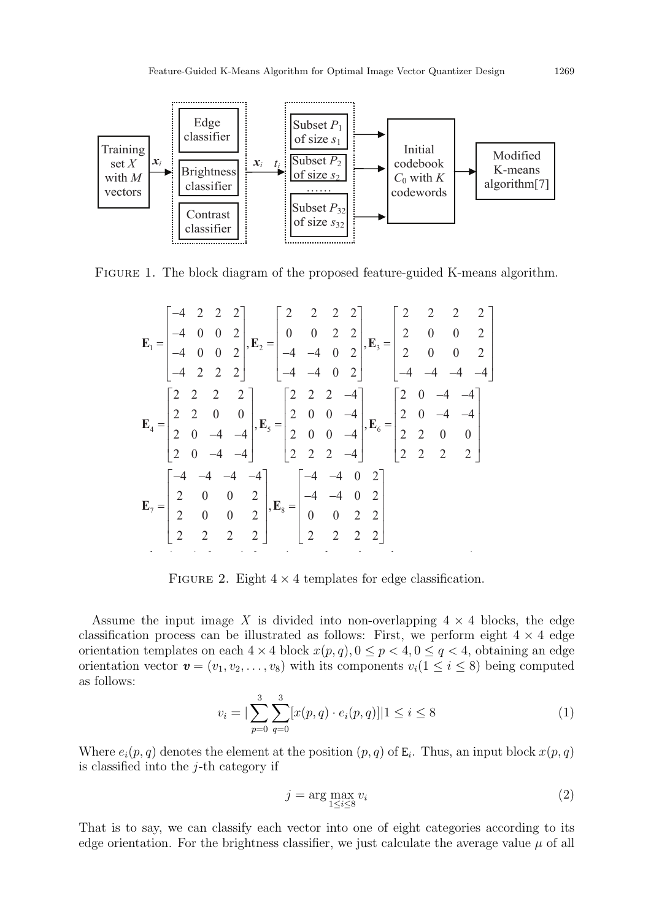

Figure 1. The block diagram of the proposed feature-guided K-means algorithm.

$$
\mathbf{E}_{1} = \begin{bmatrix} -4 & 2 & 2 & 2 \\ -4 & 0 & 0 & 2 \\ -4 & 0 & 0 & 2 \\ -4 & 2 & 2 & 2 \end{bmatrix}, \mathbf{E}_{2} = \begin{bmatrix} 2 & 2 & 2 & 2 \\ 0 & 0 & 2 & 2 \\ -4 & -4 & 0 & 2 \\ -4 & -4 & 0 & 2 \end{bmatrix}, \mathbf{E}_{3} = \begin{bmatrix} 2 & 2 & 2 & 2 \\ 2 & 0 & 0 & 2 \\ 2 & 0 & 0 & 2 \\ -4 & -4 & -4 & -4 \end{bmatrix}
$$

$$
\mathbf{E}_{4} = \begin{bmatrix} 2 & 2 & 2 & 2 \\ 2 & 2 & 0 & 0 \\ 2 & 0 & -4 & -4 \\ 2 & 0 & -4 & -4 \end{bmatrix}, \mathbf{E}_{5} = \begin{bmatrix} 2 & 2 & 2 & -4 \\ 2 & 0 & 0 & -4 \\ 2 & 0 & 0 & -4 \\ 2 & 2 & 2 & -4 \end{bmatrix}, \mathbf{E}_{6} = \begin{bmatrix} 2 & 0 & -4 & -4 \\ 2 & 0 & -4 & -4 \\ 2 & 2 & 2 & 2 \\ 2 & 2 & 2 & 2 \end{bmatrix}
$$

$$
\mathbf{E}_{7} = \begin{bmatrix} -4 & -4 & -4 & -4 \\ 2 & 0 & 0 & 2 \\ 2 & 0 & 0 & 2 \\ 2 & 2 & 2 & 2 \end{bmatrix}, \mathbf{E}_{8} = \begin{bmatrix} -4 & -4 & 0 & 2 \\ -4 & -4 & 0 & 2 \\ 0 & 0 & 2 & 2 \\ 2 & 2 & 2 & 2 \end{bmatrix}
$$

FIGURE 2. Eight  $4 \times 4$  templates for edge classification.

Assume the input image X is divided into non-overlapping  $4 \times 4$  blocks, the edge classification process can be illustrated as follows: First, we perform eight  $4 \times 4$  edge orientation templates on each  $4 \times 4$  block  $x(p, q)$ ,  $0 \leq p < 4$ ,  $0 \leq q < 4$ , obtaining an edge orientation vector  $\mathbf{v} = (v_1, v_2, \dots, v_8)$  with its components  $v_i(1 \leq i \leq 8)$  being computed as follows:

$$
v_i = \left| \sum_{p=0}^{3} \sum_{q=0}^{3} [x(p,q) \cdot e_i(p,q)] \right| 1 \le i \le 8
$$
\n(1)

Where  $e_i(p,q)$  denotes the element at the position  $(p,q)$  of  $E_i$ . Thus, an input block  $x(p,q)$ is classified into the  $j$ -th category if

$$
j = \arg\max_{1 \le i \le 8} v_i \tag{2}
$$

That is to say, we can classify each vector into one of eight categories according to its edge orientation. For the brightness classifier, we just calculate the average value  $\mu$  of all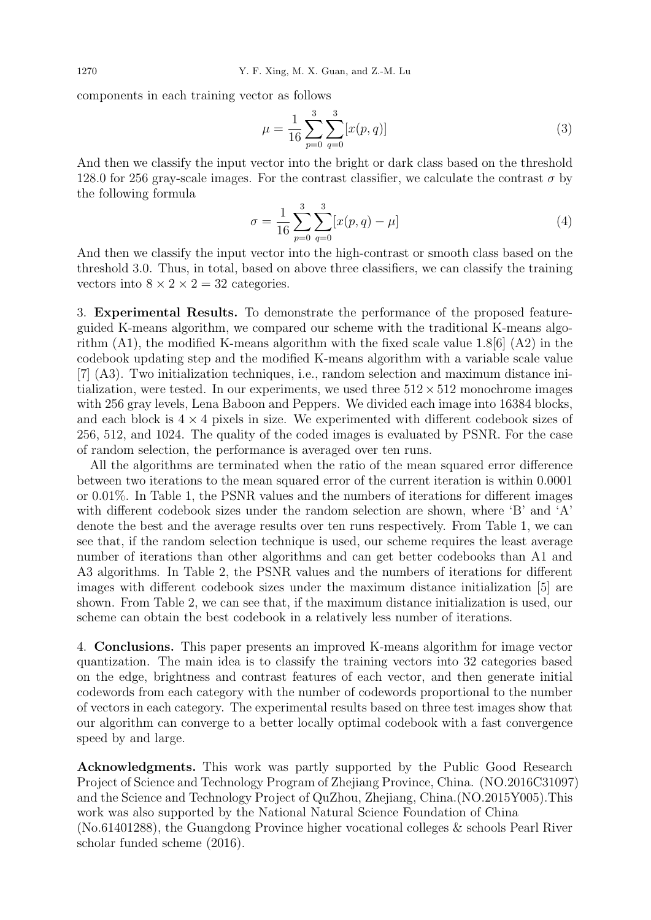components in each training vector as follows

$$
\mu = \frac{1}{16} \sum_{p=0}^{3} \sum_{q=0}^{3} [x(p,q)] \tag{3}
$$

And then we classify the input vector into the bright or dark class based on the threshold 128.0 for 256 gray-scale images. For the contrast classifier, we calculate the contrast  $\sigma$  by the following formula

$$
\sigma = \frac{1}{16} \sum_{p=0}^{3} \sum_{q=0}^{3} [x(p,q) - \mu]
$$
\n(4)

And then we classify the input vector into the high-contrast or smooth class based on the threshold 3.0. Thus, in total, based on above three classifiers, we can classify the training vectors into  $8 \times 2 \times 2 = 32$  categories.

3. Experimental Results. To demonstrate the performance of the proposed featureguided K-means algorithm, we compared our scheme with the traditional K-means algorithm  $(A1)$ , the modified K-means algorithm with the fixed scale value 1.8[6]  $(A2)$  in the codebook updating step and the modified K-means algorithm with a variable scale value [7] (A3). Two initialization techniques, i.e., random selection and maximum distance initialization, were tested. In our experiments, we used three  $512 \times 512$  monochrome images with 256 gray levels, Lena Baboon and Peppers. We divided each image into 16384 blocks, and each block is  $4 \times 4$  pixels in size. We experimented with different codebook sizes of 256, 512, and 1024. The quality of the coded images is evaluated by PSNR. For the case of random selection, the performance is averaged over ten runs.

All the algorithms are terminated when the ratio of the mean squared error difference between two iterations to the mean squared error of the current iteration is within 0.0001 or 0.01%. In Table 1, the PSNR values and the numbers of iterations for different images with different codebook sizes under the random selection are shown, where 'B' and 'A' denote the best and the average results over ten runs respectively. From Table 1, we can see that, if the random selection technique is used, our scheme requires the least average number of iterations than other algorithms and can get better codebooks than A1 and A3 algorithms. In Table 2, the PSNR values and the numbers of iterations for different images with different codebook sizes under the maximum distance initialization [5] are shown. From Table 2, we can see that, if the maximum distance initialization is used, our scheme can obtain the best codebook in a relatively less number of iterations.

4. Conclusions. This paper presents an improved K-means algorithm for image vector quantization. The main idea is to classify the training vectors into 32 categories based on the edge, brightness and contrast features of each vector, and then generate initial codewords from each category with the number of codewords proportional to the number of vectors in each category. The experimental results based on three test images show that our algorithm can converge to a better locally optimal codebook with a fast convergence speed by and large.

Acknowledgments. This work was partly supported by the Public Good Research Project of Science and Technology Program of Zhejiang Province, China. (NO.2016C31097) and the Science and Technology Project of QuZhou, Zhejiang, China.(NO.2015Y005).This work was also supported by the National Natural Science Foundation of China (No.61401288), the Guangdong Province higher vocational colleges & schools Pearl River scholar funded scheme (2016).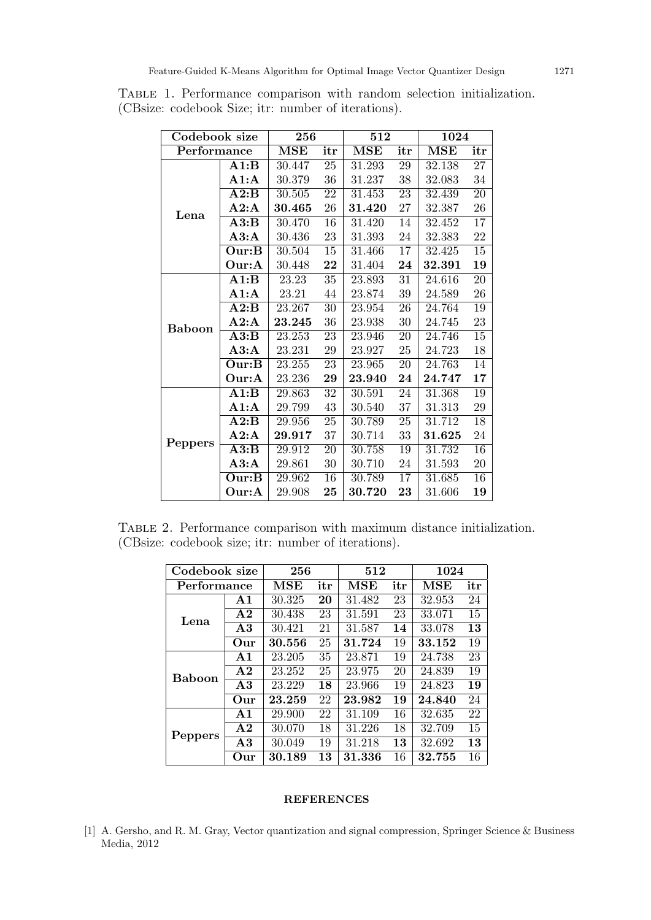| Codebook size |                       | 256        |                 | 512        |                 | 1024       |                 |
|---------------|-----------------------|------------|-----------------|------------|-----------------|------------|-----------------|
| Performance   |                       | $\bf{MSE}$ | itr             | $\bf{MSE}$ | itr             | <b>MSE</b> | itr             |
| Lena          | $\rm A1:B$            | 30.447     | 25              | 31.293     | 29              | 32.138     | 27              |
|               | A1:A                  | 30.379     | 36              | 31.237     | 38              | 32.083     | 34              |
|               | $\rm A2:B$            | 30.505     | 22              | 31.453     | $\overline{23}$ | 32.439     | $\overline{20}$ |
|               | A2:A                  | 30.465     | 26              | 31.420     | 27              | 32.387     | $26\,$          |
|               | $\overline{\bf A3:B}$ | 30.470     | $\overline{16}$ | 31.420     | $\overline{14}$ | 32.452     | $\overline{17}$ |
|               | A3:A                  | 30.436     | 23              | 31.393     | 24              | 32.383     | 22              |
|               | Our:B                 | 30.504     | $15\,$          | 31.466     | 17              | 32.425     | 15              |
|               | Our:A                 | 30.448     | 22              | 31.404     | 24              | 32.391     | 19              |
| <b>Baboon</b> | A1:B                  | 23.23      | 35              | 23.893     | 31              | 24.616     | 20              |
|               | A1:A                  | 23.21      | $44\,$          | 23.874     | $39\,$          | 24.589     | $26\,$          |
|               | $\rm A2:B$            | 23.267     | 30              | 23.954     | 26              | 24.764     | $\overline{19}$ |
|               | A2:A                  | 23.245     | 36              | 23.938     | $30\,$          | 24.745     | $23\,$          |
|               | A3:B                  | 23.253     | $\overline{23}$ | 23.946     | $\overline{20}$ | 24.746     | $\overline{15}$ |
|               | A3:A                  | 23.231     | $\,29$          | 23.927     | 25              | 24.723     | 18              |
|               | Our:B                 | 23.255     | 23              | 23.965     | 20              | 24.763     | 14              |
|               | Our:A                 | 23.236     | 29              | 23.940     | 24              | 24.747     | $17\,$          |
| Peppers       | A1:B                  | 29.863     | 32              | 30.591     | 24              | 31.368     | 19              |
|               | A1:A                  | 29.799     | 43              | 30.540     | 37              | 31.313     | 29              |
|               | A2:B                  | 29.956     | 25              | 30.789     | $\overline{25}$ | 31.712     | $\overline{18}$ |
|               | A2:A                  | 29.917     | 37              | 30.714     | 33              | 31.625     | 24              |
|               | $\overline{\bf A3:B}$ | 29.912     | 20              | 30.758     | 19              | 31.732     | $\overline{16}$ |
|               | A3:A                  | 29.861     | $30\,$          | 30.710     | 24              | 31.593     | $20\,$          |
|               | Our:B                 | 29.962     | 16              | 30.789     | 17              | 31.685     | 16              |
|               | Our:A                 | 29.908     | 25              | 30.720     | 23              | 31.606     | 19              |

Table 1. Performance comparison with random selection initialization. (CBsize: codebook Size; itr: number of iterations).

TABLE 2. Performance comparison with maximum distance initialization. (CBsize: codebook size; itr: number of iterations).

| Codebook size |                | 256           |     | 512                  |     | 1024                 |     |
|---------------|----------------|---------------|-----|----------------------|-----|----------------------|-----|
| Performance   |                | $_{\rm{MSE}}$ | itr | $\operatorname{MSE}$ | itr | $\operatorname{MSE}$ | itr |
| Lena          | A1             | 30.325        | 20  | 31.482               | 23  | 32.953               | 24  |
|               | $\bf{A2}$      | 30.438        | 23  | 31.591               | 23  | 33.071               | 15  |
|               | $\bf{A3}$      | 30.421        | 21  | 31.587               | 14  | 33.078               | 13  |
|               | Our            | 30.556        | 25  | 31.724               | 19  | 33.152               | 19  |
| <b>Baboon</b> | A <sub>1</sub> | 23.205        | 35  | 23.871               | 19  | 24.738               | 23  |
|               | A <sub>2</sub> | 23.252        | 25  | 23.975               | 20  | 24.839               | 19  |
|               | $\bf{A3}$      | 23.229        | 18  | 23.966               | 19  | 24.823               | 19  |
|               | Our            | 23.259        | 22  | 23.982               | 19  | 24.840               | 24  |
| Peppers       | A <sub>1</sub> | 29.900        | 22  | 31.109               | 16  | 32.635               | 22  |
|               | $\bf{A2}$      | 30.070        | 18  | 31.226               | 18  | 32.709               | 15  |
|               | A3             | 30.049        | 19  | 31.218               | 13  | 32.692               | 13  |
|               | Our            | 30.189        | 13  | 31.336               | 16  | 32.755               | 16  |

## REFERENCES

[1] A. Gersho, and R. M. Gray, Vector quantization and signal compression, Springer Science & Business Media, 2012